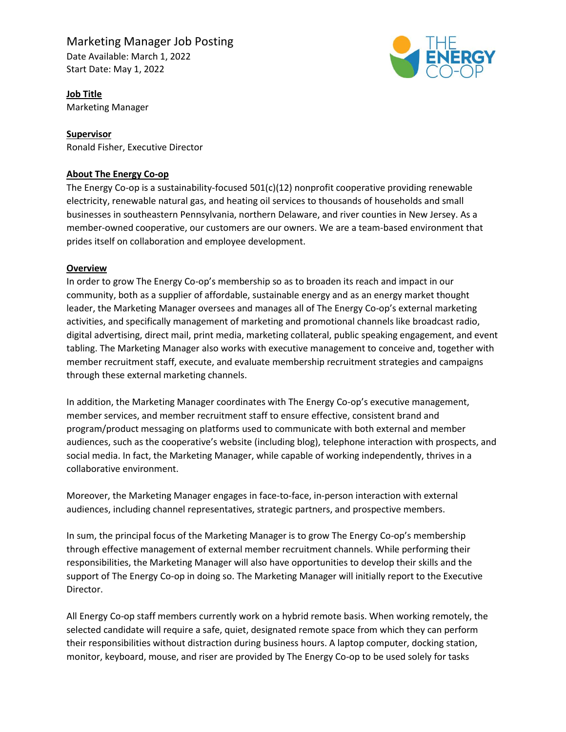# Marketing Manager Job Posting

Date Available: March 1, 2022 Start Date: May 1, 2022



**Job Title** Marketing Manager

## **Supervisor**

Ronald Fisher, Executive Director

## **About The Energy Co-op**

The Energy Co-op is a sustainability-focused 501(c)(12) nonprofit cooperative providing renewable electricity, renewable natural gas, and heating oil services to thousands of households and small businesses in southeastern Pennsylvania, northern Delaware, and river counties in New Jersey. As a member-owned cooperative, our customers are our owners. We are a team-based environment that prides itself on collaboration and employee development.

## **Overview**

In order to grow The Energy Co-op's membership so as to broaden its reach and impact in our community, both as a supplier of affordable, sustainable energy and as an energy market thought leader, the Marketing Manager oversees and manages all of The Energy Co-op's external marketing activities, and specifically management of marketing and promotional channels like broadcast radio, digital advertising, direct mail, print media, marketing collateral, public speaking engagement, and event tabling. The Marketing Manager also works with executive management to conceive and, together with member recruitment staff, execute, and evaluate membership recruitment strategies and campaigns through these external marketing channels.

In addition, the Marketing Manager coordinates with The Energy Co-op's executive management, member services, and member recruitment staff to ensure effective, consistent brand and program/product messaging on platforms used to communicate with both external and member audiences, such as the cooperative's website (including blog), telephone interaction with prospects, and social media. In fact, the Marketing Manager, while capable of working independently, thrives in a collaborative environment.

Moreover, the Marketing Manager engages in face-to-face, in-person interaction with external audiences, including channel representatives, strategic partners, and prospective members.

In sum, the principal focus of the Marketing Manager is to grow The Energy Co-op's membership through effective management of external member recruitment channels. While performing their responsibilities, the Marketing Manager will also have opportunities to develop their skills and the support of The Energy Co-op in doing so. The Marketing Manager will initially report to the Executive Director.

All Energy Co-op staff members currently work on a hybrid remote basis. When working remotely, the selected candidate will require a safe, quiet, designated remote space from which they can perform their responsibilities without distraction during business hours. A laptop computer, docking station, monitor, keyboard, mouse, and riser are provided by The Energy Co-op to be used solely for tasks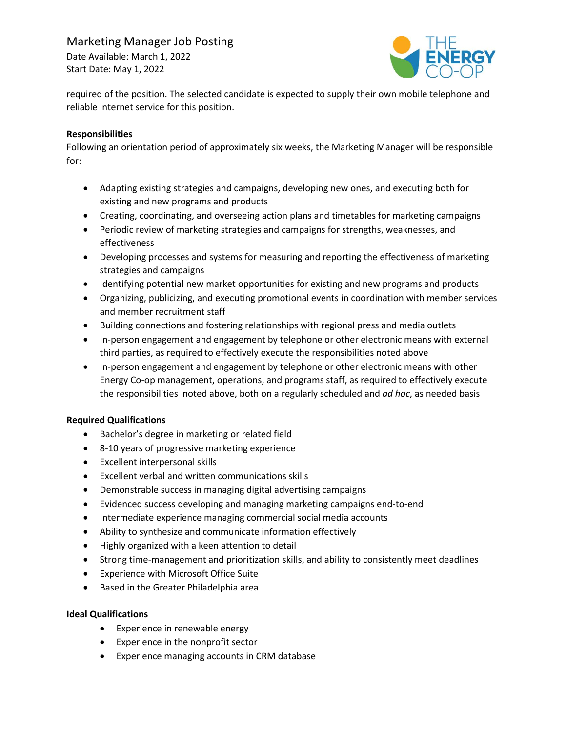## Marketing Manager Job Posting

Date Available: March 1, 2022 Start Date: May 1, 2022



required of the position. The selected candidate is expected to supply their own mobile telephone and reliable internet service for this position.

## **Responsibilities**

Following an orientation period of approximately six weeks, the Marketing Manager will be responsible for:

- Adapting existing strategies and campaigns, developing new ones, and executing both for existing and new programs and products
- Creating, coordinating, and overseeing action plans and timetables for marketing campaigns
- Periodic review of marketing strategies and campaigns for strengths, weaknesses, and effectiveness
- Developing processes and systems for measuring and reporting the effectiveness of marketing strategies and campaigns
- Identifying potential new market opportunities for existing and new programs and products
- Organizing, publicizing, and executing promotional events in coordination with member services and member recruitment staff
- Building connections and fostering relationships with regional press and media outlets
- In-person engagement and engagement by telephone or other electronic means with external third parties, as required to effectively execute the responsibilities noted above
- In-person engagement and engagement by telephone or other electronic means with other Energy Co-op management, operations, and programs staff, as required to effectively execute the responsibilities noted above, both on a regularly scheduled and *ad hoc*, as needed basis

## **Required Qualifications**

- Bachelor's degree in marketing or related field
- 8-10 years of progressive marketing experience
- Excellent interpersonal skills
- Excellent verbal and written communications skills
- Demonstrable success in managing digital advertising campaigns
- Evidenced success developing and managing marketing campaigns end-to-end
- Intermediate experience managing commercial social media accounts
- Ability to synthesize and communicate information effectively
- Highly organized with a keen attention to detail
- Strong time-management and prioritization skills, and ability to consistently meet deadlines
- Experience with Microsoft Office Suite
- Based in the Greater Philadelphia area

## **Ideal Qualifications**

- Experience in renewable energy
- Experience in the nonprofit sector
- Experience managing accounts in CRM database